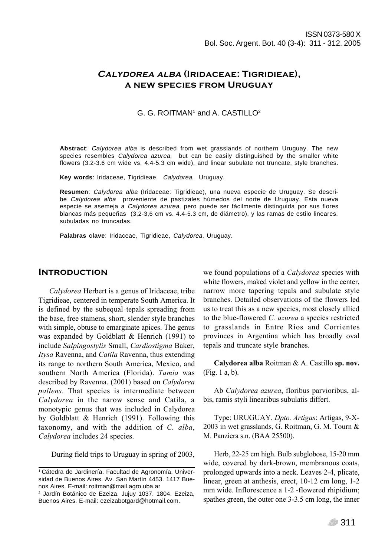# Calydorea alba (Iridaceae: Tigridieae), a new species from Uruguay

### G. G. ROITMAN<sup>1</sup> and A. CASTILLO<sup>2</sup>

**Abstract**: Calydorea alba is described from wet grasslands of northern Uruguay. The new species resembles Calydorea azurea, but can be easily distinguished by the smaller white flowers (3.2-3.6 cm wide vs. 4.4-5.3 cm wide), and linear subulate not truncate, style branches.

**Key words**: Iridaceae, Tigridieae, Calydorea, Uruguay.

**Resumen**: Calydorea alba (Iridaceae: Tigridieae), una nueva especie de Uruguay. Se describe Calydorea alba proveniente de pastizales húmedos del norte de Uruguay. Esta nueva especie se asemeja a Calydorea azurea, pero puede ser fácilmente distinguida por sus flores blancas más pequeñas (3,2-3,6 cm vs. 4.4-5.3 cm, de diámetro), y las ramas de estilo lineares, subuladas no truncadas.

**Palabras clave**: Iridaceae, Tigridieae, Calydorea, Uruguay.

#### **INTRODUCTION**

Calydorea Herbert is a genus of Iridaceae, tribe Tigridieae, centered in temperate South America. It is defined by the subequal tepals spreading from the base, free stamens, short, slender style branches with simple, obtuse to emarginate apices. The genus was expanded by Goldblatt & Henrich (1991) to include Salpingostylis Small, Cardiostigma Baker, Itysa Ravenna, and Catila Ravenna, thus extending its range to northern South America, Mexico, and southern North America (Florida). Tamia was described by Ravenna. (2001) based on Calydorea pallens. That species is intermediate between Calydorea in the narow sense and Catila, a monotypic genus that was included in Calydorea by Goldblatt & Henrich (1991). Following this taxonomy, and with the addition of C. alba, Calydorea includes 24 species.

During field trips to Uruguay in spring of 2003,

we found populations of a *Calydorea* species with white flowers, maked violet and yellow in the center. narrow more tapering tepals and subulate style branches. Detailed observations of the flowers led us to treat this as a new species, most closely allied to the blue-flowered C. azurea a species restricted to grasslands in Entre RÌos and Corrientes provinces in Argentina which has broadly oval tepals and truncate style branches.

Calydorea alba Roitman & A. Castillo sp. nov. (Fig. 1 a, b).

Ab Calydorea azurea, floribus parvioribus, albis, ramis styli linearibus subulatis differt.

Type: URUGUAY. Dpto. Artigas: Artigas, 9-X-2003 in wet grasslands, G. Roitman, G. M. Tourn & M. Panziera s.n. (BAA 25500).

Herb, 22-25 cm high. Bulb subglobose, 15-20 mm wide, covered by dark-brown, membranous coats, prolonged upwards into a neck. Leaves 2-4, plicate, linear, green at anthesis, erect, 10-12 cm long, 1-2 mm wide. Inflorescence a 1-2 -flowered rhipidium; spathes green, the outer one 3-3.5 cm long, the inner

<sup>1</sup> Cátedra de Jardinería. Facultad de Agronomía, Universidad de Buenos Aires. Av. San Martín 4453. 1417 Buenos Aires. E-mail: roitman@mail.agro.uba.ar

<sup>2</sup> Jardín Botánico de Ezeiza. Jujuy 1037. 1804. Ezeiza, Buenos Aires. E-mail: ezeizabotgard@hotmail.com.